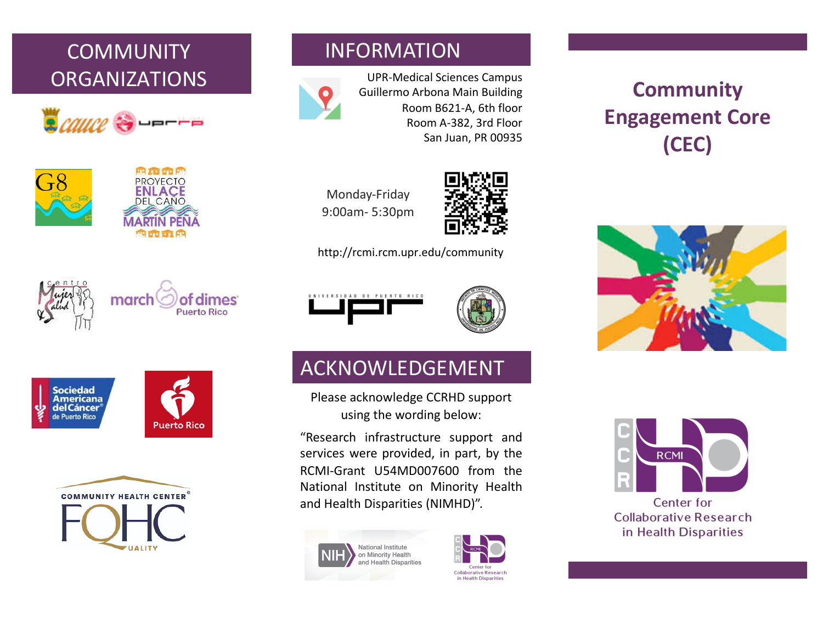# **COMMUNITY** ORGANIZATIONS







#### INFORMATION



UPR-Medical Sciences Campus Guillermo Arbona Main Building Room B621-A, 6th floor Room A-382, 3rd Floor San Juan, PR 00935





http://rcmi.rcm.upr.edu/community











## ACKNOWLEDGEMENT

Please acknowledge CCRHD support using the wording below:

"Research infrastructure support and services were provided, in part, by the RCMI-Grant U54MD007600 from the National Institute on Minority Health and Health Disparities (NIMHD)".





# **Community Engagement Core (CEC)**





**Center for Collaborative Research** in Health Disparities